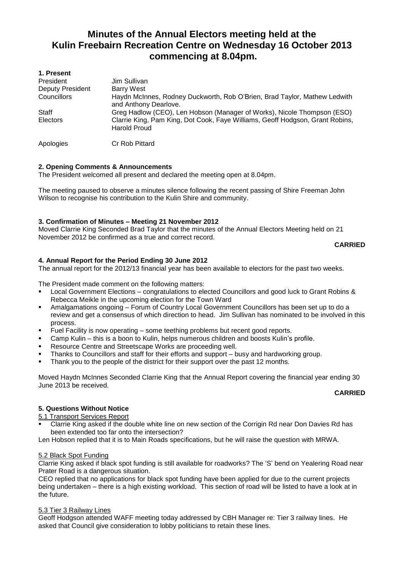# **Minutes of the Annual Electors meeting held at the Kulin Freebairn Recreation Centre on Wednesday 16 October 2013 commencing at 8.04pm.**

| 1. Present              |                                                                                                      |
|-------------------------|------------------------------------------------------------------------------------------------------|
| President               | Jim Sullivan                                                                                         |
| <b>Deputy President</b> | <b>Barry West</b>                                                                                    |
| Councillors             | Haydn McInnes, Rodney Duckworth, Rob O'Brien, Brad Taylor, Mathew Ledwith<br>and Anthony Dearlove.   |
| Staff                   | Greg Hadlow (CEO), Len Hobson (Manager of Works), Nicole Thompson (ESO)                              |
| Electors                | Clarrie King, Pam King, Dot Cook, Faye Williams, Geoff Hodgson, Grant Robins,<br><b>Harold Proud</b> |
| Apologies               | Cr Rob Pittard                                                                                       |

## **2. Opening Comments & Announcements**

The President welcomed all present and declared the meeting open at 8.04pm.

The meeting paused to observe a minutes silence following the recent passing of Shire Freeman John Wilson to recognise his contribution to the Kulin Shire and community.

## **3. Confirmation of Minutes – Meeting 21 November 2012**

Moved Clarrie King Seconded Brad Taylor that the minutes of the Annual Electors Meeting held on 21 November 2012 be confirmed as a true and correct record.

#### **CARRIED**

## **4. Annual Report for the Period Ending 30 June 2012**

The annual report for the 2012/13 financial year has been available to electors for the past two weeks.

The President made comment on the following matters:

- Local Government Elections congratulations to elected Councillors and good luck to Grant Robins & Rebecca Meikle in the upcoming election for the Town Ward
- Amalgamations ongoing Forum of Country Local Government Councillors has been set up to do a review and get a consensus of which direction to head. Jim Sullivan has nominated to be involved in this process.
- Fuel Facility is now operating some teething problems but recent good reports.
- Camp Kulin this is a boon to Kulin, helps numerous children and boosts Kulin's profile.
- Resource Centre and Streetscape Works are proceeding well.
- Thanks to Councillors and staff for their efforts and support busy and hardworking group.
- **Thank you to the people of the district for their support over the past 12 months.**

Moved Haydn McInnes Seconded Clarrie King that the Annual Report covering the financial year ending 30 June 2013 be received.

## **CARRIED**

## **5. Questions Without Notice**

- 5.1 Transport Services Report
- Clarrie King asked if the double white line on new section of the Corrigin Rd near Don Davies Rd has been extended too far onto the intersection?

Len Hobson replied that it is to Main Roads specifications, but he will raise the question with MRWA.

## 5.2 Black Spot Funding

Clarrie King asked if black spot funding is still available for roadworks? The 'S' bend on Yealering Road near Prater Road is a dangerous situation.

CEO replied that no applications for black spot funding have been applied for due to the current projects being undertaken – there is a high existing workload. This section of road will be listed to have a look at in the future.

## 5.3 Tier 3 Railway Lines

Geoff Hodgson attended WAFF meeting today addressed by CBH Manager re: Tier 3 railway lines. He asked that Council give consideration to lobby politicians to retain these lines.